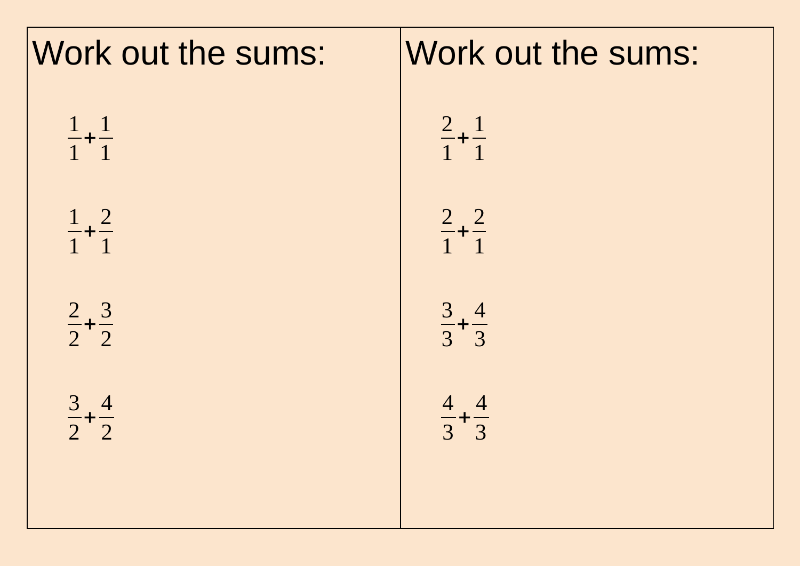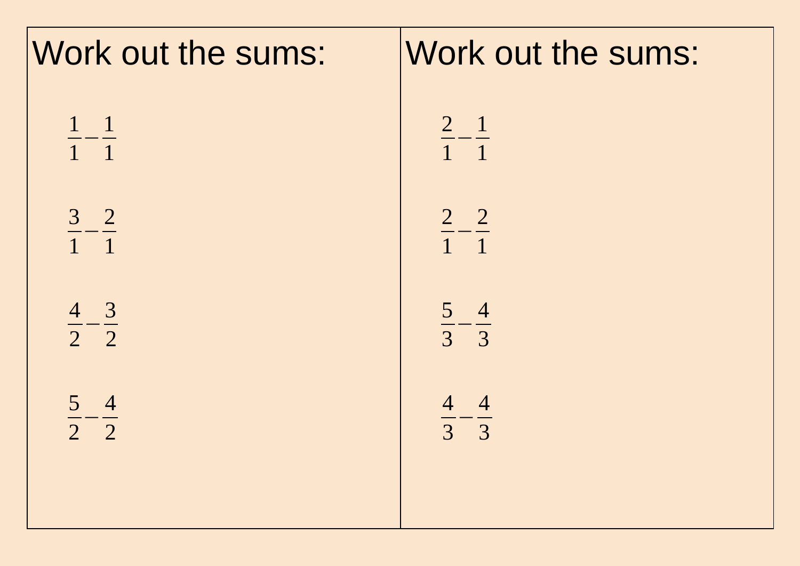| Work out the sums:          |
|-----------------------------|
| $\frac{2}{1} - \frac{1}{1}$ |
| $\frac{2}{1} - \frac{2}{1}$ |
| $\frac{5}{3} - \frac{4}{3}$ |
| $\frac{4}{3} - \frac{4}{3}$ |
|                             |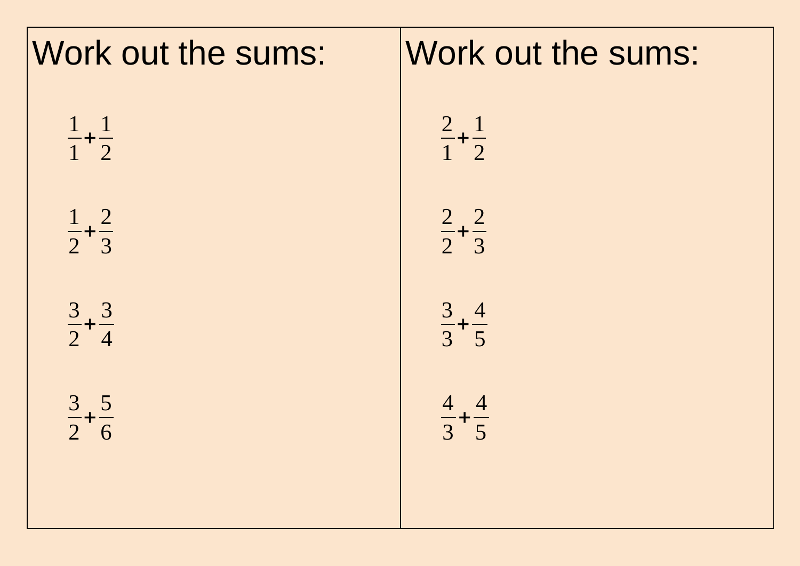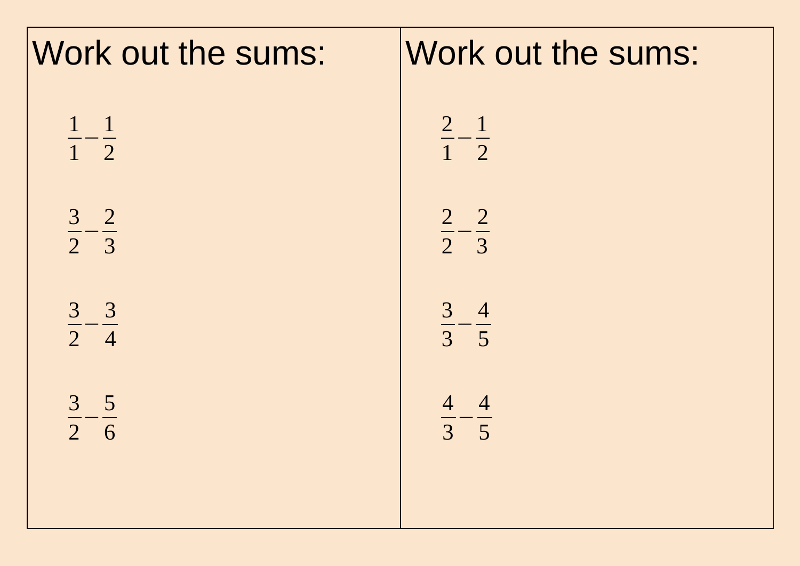| Work out the sums:            | Work out the sums:          |
|-------------------------------|-----------------------------|
| $\frac{1}{1} - \frac{1}{2}$   | $\frac{2}{1} - \frac{1}{2}$ |
| $\frac{3}{2} - \frac{2}{3}$   | $\frac{2}{2} - \frac{2}{3}$ |
| $\frac{3}{2} - \frac{3}{4}$   | $\frac{3}{3} - \frac{4}{5}$ |
| 3 <sub>5</sub><br>$2 \quad 6$ | $\frac{4}{3} - \frac{4}{5}$ |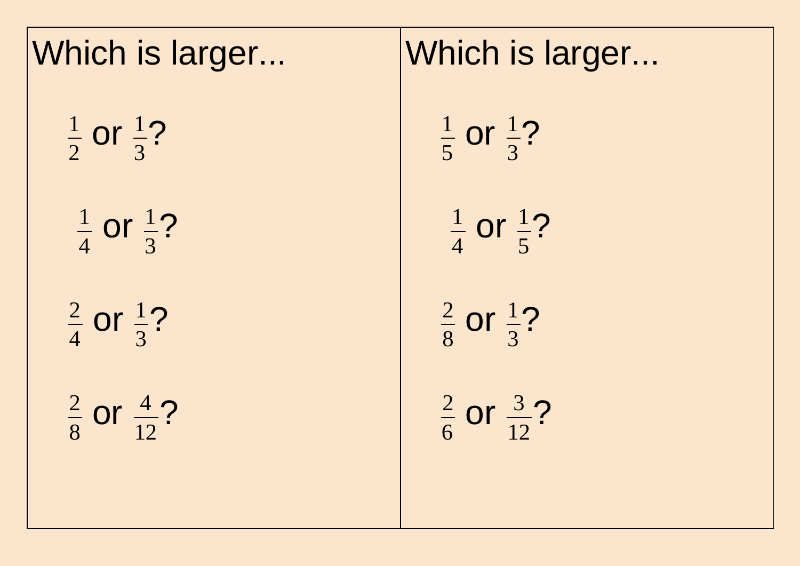| Which is larger                  |  |  |
|----------------------------------|--|--|
| $\frac{1}{2}$ or $\frac{1}{3}$ ? |  |  |
| $\frac{1}{4}$ or $\frac{1}{3}$ ? |  |  |
| $rac{2}{4}$ or $rac{1}{3}$ ?     |  |  |
| $rac{2}{8}$ or $rac{4}{12}$ ?    |  |  |
|                                  |  |  |

## Which is larger...

1 5 or  $\frac{1}{2}$ 3 ?

1 4 or  $\frac{1}{2}$ 5 ?

2 8 or  $\frac{1}{2}$ 3 ?

2 6 or  $\frac{3}{5}$ 12 ?